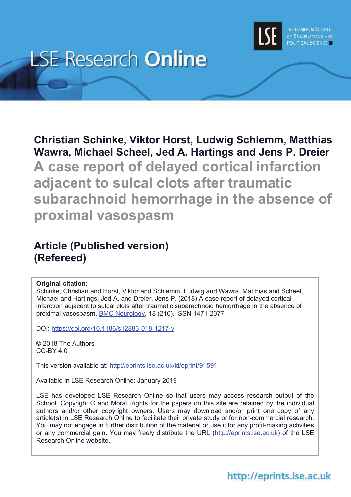

# **LSE Research Online**

**Christian Schinke, Viktor Horst, Ludwig Schlemm, Matthias Wawra, Michael Scheel, Jed A. Hartings and Jens P. Dreier A case report of delayed cortical infarction adjacent to sulcal clots after traumatic subarachnoid hemorrhage in the absence of proximal vasospasm**

# **Article (Published version) (Refereed)**

### **Original citation:**

Schinke, Christian and Horst, Viktor and Schlemm, Ludwig and Wawra, Matthias and Scheel, Michael and Hartings, Jed A. and Dreier, Jens P. (2018) A case report of delayed cortical infarction adjacent to sulcal clots after traumatic subarachnoid hemorrhage in the absence of proximal vasospasm. BMC Neurology, 18 (210). ISSN 1471-2377

DOI: https://doi.org/10.1186/s12883-018-1217-y

© 2018 The Authors CC-BY 4.0

This version available at: http://eprints.lse.ac.uk/id/eprint/91591

Available in LSE Research Online: January 2019

LSE has developed LSE Research Online so that users may access research output of the School. Copyright © and Moral Rights for the papers on this site are retained by the individual authors and/or other copyright owners. Users may download and/or print one copy of any article(s) in LSE Research Online to facilitate their private study or for non-commercial research. You may not engage in further distribution of the material or use it for any profit-making activities or any commercial gain. You may freely distribute the URL (http://eprints.lse.ac.uk) of the LSE Research Online website.

# http://eprints.lse.ac.uk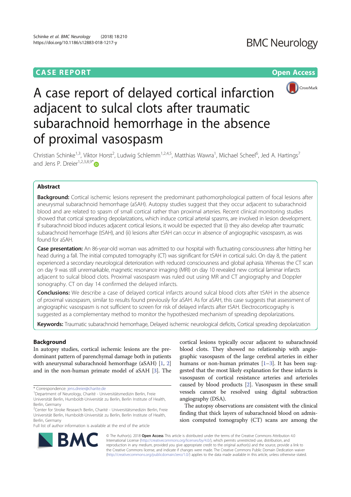### **CASE REPORT CASE REPORT CASE REPORT**





# A case report of delayed cortical infarction adjacent to sulcal clots after traumatic subarachnoid hemorrhage in the absence of proximal vasospasm

Christian Schinke<sup>1,3</sup>, Viktor Horst<sup>2</sup>, Ludwig Schlemm<sup>1,2,4,5</sup>, Matthias Wawra<sup>1</sup>, Michael Scheel<sup>6</sup>, Jed A. Hartings<sup>7</sup> and Jens P. Dreier<sup>1,2,3,8,9\*</sup>

### Abstract

Background: Cortical ischemic lesions represent the predominant pathomorphological pattern of focal lesions after aneurysmal subarachnoid hemorrhage (aSAH). Autopsy studies suggest that they occur adjacent to subarachnoid blood and are related to spasm of small cortical rather than proximal arteries. Recent clinical monitoring studies showed that cortical spreading depolarizations, which induce cortical arterial spasms, are involved in lesion development. If subarachnoid blood induces adjacent cortical lesions, it would be expected that (i) they also develop after traumatic subarachnoid hemorrhage (tSAH), and (ii) lesions after tSAH can occur in absence of angiographic vasospasm, as was found for aSAH.

Case presentation: An 86-year-old woman was admitted to our hospital with fluctuating consciousness after hitting her head during a fall. The initial computed tomography (CT) was significant for tSAH in cortical sulci. On day 8, the patient experienced a secondary neurological deterioration with reduced consciousness and global aphasia. Whereas the CT scan on day 9 was still unremarkable, magnetic resonance imaging (MRI) on day 10 revealed new cortical laminar infarcts adjacent to sulcal blood clots. Proximal vasospasm was ruled out using MR and CT angiography and Doppler sonography. CT on day 14 confirmed the delayed infarcts.

Conclusions: We describe a case of delayed cortical infarcts around sulcal blood clots after tSAH in the absence of proximal vasospasm, similar to results found previously for aSAH. As for aSAH, this case suggests that assessment of angiographic vasospasm is not sufficient to screen for risk of delayed infarcts after tSAH. Electrocorticography is suggested as a complementary method to monitor the hypothesized mechanism of spreading depolarizations.

Keywords: Traumatic subarachnoid hemorrhage, Delayed ischemic neurological deficits, Cortical spreading depolarization

### Background

In autopsy studies, cortical ischemic lesions are the predominant pattern of parenchymal damage both in patients with aneurysmal subarachnoid hemorrhage (aSAH) [1, 2] and in the non-human primate model of aSAH [3]. The

\* Correspondence: jens.dreier@charite.de

Full list of author information is available at the end of the article

cortical lesions typically occur adjacent to subarachnoid blood clots. They showed no relationship with angiographic vasospasm of the large cerebral arteries in either humans or non-human primates [1–3]. It has been suggested that the most likely explanation for these infarcts is vasospasm of cortical resistance arteries and arterioles caused by blood products [2]. Vasospasm in these small vessels cannot be resolved using digital subtraction angiography (DSA).

The autopsy observations are consistent with the clinical finding that thick layers of subarachnoid blood on admission computed tomography (CT) scans are among the



<sup>&</sup>lt;sup>1</sup>Department of Neurology, Charité - Universitätsmedizin Berlin, Freie Universität Berlin, Humboldt-Universität zu Berlin, Berlin Institute of Health, Berlin, Germany

<sup>&</sup>lt;sup>2</sup>Center for Stroke Research Berlin, Charité - Universitätsmedizin Berlin, Freie Universität Berlin, Humboldt-Universität zu Berlin, Berlin Institute of Health, Berlin, Germany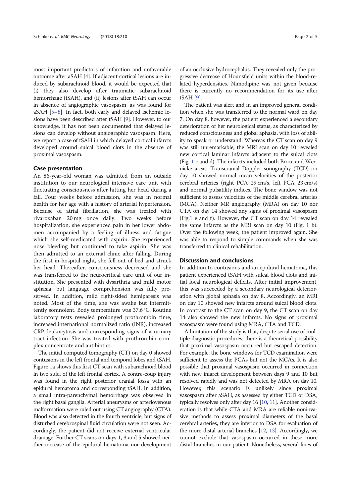most important predictors of infarction and unfavorable outcome after aSAH [4]. If adjacent cortical lesions are induced by subarachnoid blood, it would be expected that (i) they also develop after traumatic subarachnoid hemorrhage (tSAH), and (ii) lesions after tSAH can occur in absence of angiographic vasospasm, as was found for aSAH [5–8]. In fact, both early and delayed ischemic lesions have been described after tSAH [9]. However, to our knowledge, it has not been documented that delayed lesions can develop without angiographic vasospasm. Here, we report a case of tSAH in which delayed cortical infarcts developed around sulcal blood clots in the absence of proximal vasospasm.

#### Case presentation

An 86-year-old woman was admitted from an outside institution to our neurological intensive care unit with fluctuating consciousness after hitting her head during a fall. Four weeks before admission, she was in normal health for her age with a history of arterial hypertension. Because of atrial fibrillation, she was treated with rivaroxaban 20 mg once daily. Two weeks before hospitalization, she experienced pain in her lower abdomen accompanied by a feeling of illness and fatigue which she self-medicated with aspirin. She experienced nose bleeding but continued to take aspirin. She was then admitted to an external clinic after falling. During the first in-hospital night, she fell out of bed and struck her head. Thereafter, consciousness decreased and she was transferred to the neurocritical care unit of our institution. She presented with dysarthria and mild motor aphasia, but language comprehension was fully preserved. In addition, mild right-sided hemiparesis was noted. Most of the time, she was awake but intermittently somnolent. Body temperature was 37.6 °C. Routine laboratory tests revealed prolonged prothrombin time, increased international normalized ratio (INR), increased CRP, leukocytosis and corresponding signs of a urinary tract infection. She was treated with prothrombin complex concentrate and antibiotics.

The initial computed tomography (CT) on day 0 showed contusions in the left frontal and temporal lobes and tSAH. Figure 1a shows this first CT scan with subarachnoid blood in two sulci of the left frontal cortex. A contre-coup injury was found in the right posterior cranial fossa with an epidural hematoma and corresponding tSAH. In addition, a small intra-parenchymal hemorrhage was observed in the right basal ganglia. Arterial aneurysms or arteriovenous malformation were ruled out using CT angiography (CTA). Blood was also detected in the fourth ventricle, but signs of disturbed cerebrospinal fluid circulation were not seen. Accordingly, the patient did not receive external ventricular drainage. Further CT scans on days 1, 3 and 5 showed neither increase of the epidural hematoma nor development

of an occlusive hydrocephalus. They revealed only the progressive decrease of Hounsfield units within the blood-related hyperdensities. Nimodipine was not given because there is currently no recommendation for its use after tSAH [9].

The patient was alert and in an improved general condition when she was transferred to the normal ward on day 7. On day 8, however, the patient experienced a secondary deterioration of her neurological status, as characterized by reduced consciousness and global aphasia, with loss of ability to speak or understand. Whereas the CT scan on day 9 was still unremarkable, the MRI scan on day 10 revealed new cortical laminar infarcts adjacent to the sulcal clots (Fig. 1 c and d). The infarcts included both Broca and Wernicke areas. Transcranial Doppler sonography (TCD) on day 10 showed normal mean velocities of the posterior cerebral arteries (right PCA 29 cm/s, left PCA 23 cm/s) and normal pulsatility indices. The bone window was not sufficient to assess velocities of the middle cerebral arteries (MCA). Neither MR angiography (MRA) on day 10 nor CTA on day 14 showed any signs of proximal vasospasm (Fig.1 e and f). However, the CT scan on day  $14$  revealed the same infarcts as the MRI scan on day 10 (Fig. 1 b). Over the following week, the patient improved again. She was able to respond to simple commands when she was transferred to clinical rehabilitation.

#### Discussion and conclusions

In addition to contusions and an epidural hematoma, this patient experienced tSAH with sulcal blood clots and initial focal neurological deficits. After initial improvement, this was succeeded by a secondary neurological deterioration with global aphasia on day 8. Accordingly, an MRI on day 10 showed new infarcts around sulcal blood clots. In contrast to the CT scan on day 9, the CT scan on day 14 also showed the new infarcts. No signs of proximal vasospasm were found using MRA, CTA and TCD.

A limitation of the study is that, despite serial use of multiple diagnostic procedures, there is a theoretical possibility that proximal vasospasm occurred but escaped detection. For example, the bone windows for TCD examination were sufficient to assess the PCAs but not the MCAs. It is also possible that proximal vasospasm occurred in connection with new infarct development between days 9 and 10 but resolved rapidly and was not detected by MRA on day 10. However, this scenario is unlikely since proximal vasospasm after aSAH, as assessed by either TCD or DSA, typically resolves only after day 16 [10, 11]. Another consideration is that while CTA and MRA are reliable noninvasive methods to assess proximal diameters of the basal cerebral arteries, they are inferior to DSA for evaluation of the more distal arterial branches [12, 13]. Accordingly, we cannot exclude that vasospasm occurred in these more distal branches in our patient. Nonetheless, several lines of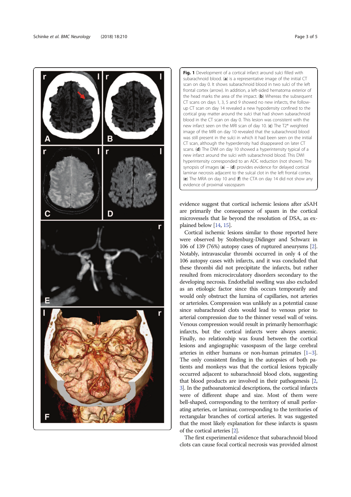

Fig. 1 Development of a cortical infarct around sulci filled with subarachnoid blood. (a) is a representative image of the initial  $CT$ scan on day 0. It shows subarachnoid blood in two sulci of the left frontal cortex (arrow). In addition, a left-sided hematoma exterior of the head marks the area of the impact. ( $\mathbf{b}$ ) Whereas the subsequent CT scans on days 1, 3, 5 and 9 showed no new infarcts, the followup CT scan on day 14 revealed a new hypodensity confined to the cortical gray matter around the sulci that had shown subarachnoid blood in the CT scan on day 0. This lesion was consistent with the new infarct seen on the MRI scan of day 10. (c) The T2\* weighted image of the MRI on day 10 revealed that the subarachnoid blood was still present in the sulci in which it had been seen on the initial CT scan, although the hyperdensity had disappeared on later CT scans. (d) The DWI on day 10 showed a hyperintensity typical of a new infarct around the sulci with subarachnoid blood. This DWI hyperintensity corresponded to an ADC reduction (not shown). The synopsis of images  $(a) - (d)$  provides evidence for delayed cortical laminar necrosis adjacent to the sulcal clot in the left frontal cortex. (e) The MRA on day 10 and (f) the CTA on day 14 did not show any evidence of proximal vasospasm

evidence suggest that cortical ischemic lesions after aSAH are primarily the consequence of spasm in the cortical microvessels that lie beyond the resolution of DSA, as explained below [14, 15].

Cortical ischemic lesions similar to those reported here were observed by Stoltenburg-Didinger and Schwarz in 106 of 139 (76%) autopsy cases of ruptured aneurysms [2]. Notably, intravascular thrombi occurred in only 4 of the 106 autopsy cases with infarcts, and it was concluded that these thrombi did not precipitate the infarcts, but rather resulted from microcirculatory disorders secondary to the developing necrosis. Endothelial swelling was also excluded as an etiologic factor since this occurs temporarily and would only obstruct the lumina of capillaries, not arteries or arterioles. Compression was unlikely as a potential cause since subarachnoid clots would lead to venous prior to arterial compression due to the thinner vessel wall of veins. Venous compression would result in primarily hemorrhagic infarcts, but the cortical infarcts were always anemic. Finally, no relationship was found between the cortical lesions and angiographic vasospasm of the large cerebral arteries in either humans or non-human primates [1–3]. The only consistent finding in the autopsies of both patients and monkeys was that the cortical lesions typically occurred adjacent to subarachnoid blood clots, suggesting that blood products are involved in their pathogenesis [2, 3]. In the pathoanatomical descriptions, the cortical infarcts were of different shape and size. Most of them were bell-shaped, corresponding to the territory of small perforating arteries, or laminar, corresponding to the territories of rectangular branches of cortical arteries. It was suggested that the most likely explanation for these infarcts is spasm of the cortical arteries [2].

The first experimental evidence that subarachnoid blood clots can cause focal cortical necrosis was provided almost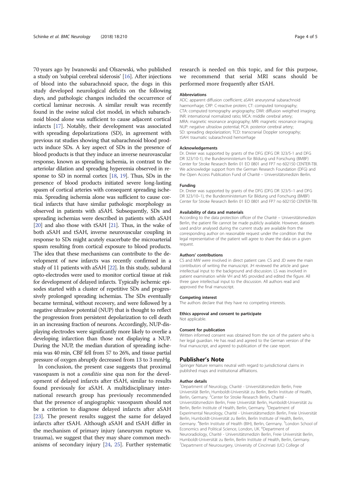70 years ago by Iwanowski and Olszewski, who published a study on 'subpial cerebral siderosis' [16]. After injections of blood into the subarachnoid space, the dogs in this study developed neurological deficits on the following days, and pathologic changes included the occurrence of cortical laminar necrosis. A similar result was recently found in the swine sulcal clot model, in which subarachnoid blood alone was sufficient to cause adjacent cortical infarcts [17]. Notably, their development was associated with spreading depolarizations (SD), in agreement with previous rat studies showing that subarachnoid blood products induce SDs. A key aspect of SDs in the presence of blood products is that they induce an inverse neurovascular response, known as spreading ischemia, in contrast to the arteriolar dilation and spreading hyperemia observed in response to SD in normal cortex [18, 19]. Thus, SDs in the presence of blood products initiated severe long-lasting spasm of cortical arteries with consequent spreading ischemia. Spreading ischemia alone was sufficient to cause cortical infarcts that have similar pathologic morphology as observed in patients with aSAH. Subsequently, SDs and spreading ischemias were described in patients with aSAH [20] and also those with tSAH [21]. Thus, in the wake of both aSAH and tSAH, inverse neurovascular coupling in response to SDs might acutely exacerbate the microarterial spasm resulting from cortical exposure to blood products. The idea that these mechanisms can contribute to the development of new infarcts was recently confirmed in a study of 11 patients with aSAH [22]. In this study, subdural opto-electrodes were used to monitor cortical tissue at risk for development of delayed infarcts. Typically ischemic episodes started with a cluster of repetitive SDs and progressively prolonged spreading ischemias. The SDs eventually became terminal, without recovery, and were followed by a negative ultraslow potential (NUP) that is thought to reflect the progression from persistent depolarization to cell death in an increasing fraction of neurons. Accordingly, NUP-displaying electrodes were significantly more likely to overlie a developing infarction than those not displaying a NUP. During the NUP, the median duration of spreading ischemia was 40 min, CBF fell from 57 to 26%, and tissue partial pressure of oxygen abruptly decreased from 13 to 3 mmHg.

In conclusion, the present case suggests that proximal vasospasm is not a conditio sine qua non for the development of delayed infarcts after tSAH, similar to results found previously for aSAH. A multidisciplinary international research group has previously recommended that the presence of angiographic vasospasm should not be a criterion to diagnose delayed infarcts after aSAH [23]. The present results suggest the same for delayed infarcts after tSAH. Although aSAH and tSAH differ in the mechanism of primary injury (aneurysm rupture vs. trauma), we suggest that they may share common mechanisms of secondary injury [24, 25]. Further systematic

research is needed on this topic, and for this purpose, we recommend that serial MRI scans should be performed more frequently after tSAH.

#### Abbreviations

ADC: apparent diffusion coefficient; aSAH: aneurysmal subarachnoid haemorrhage; CRP: C-reactive protein; CT: computed tomography; CTA: computed tomography angiography; DWI: diffusion weigthed imaging; INR: international normalized ratio; MCA: middle cerebral artery; MRA: magnetic resonance angiography; MRI: magnetic resonance imaging; NUP: negative ultraslow potential; PCA: posterior cerebral artery; SD: spreading depolarization; TCD: transcranial Doppler sonography; tSAH: traumatic subarachnoid hemorrhage

#### Acknowledgements

Dr. Dreier was supported by grants of the DFG (DFG DR 323/5-1 and DFG DR 323/10-1), the Bundesministerium für Bildung und Forschung (BMBF) Center for Stroke Research Berlin 01 EO 0801 and FP7 no 602150 CENTER-TBI. We acknowledge support from the German Research Foundation (DFG) and the Open Access Publication Fund of Charité – Universitätsmedizin Berlin.

#### Funding

Dr. Dreier was supported by grants of the DFG (DFG DR 323/5–1 and DFG DR 323/10–1), the Bundesministerium für Bildung und Forschung (BMBF) Center for Stroke Research Berlin 01 EO 0801 and FP7 no 602150 CENTER-TBI.

#### Availability of data and materials

According to the data protection officer of the Charité – Universitätsmedizin Berlin, the patient file cannot be made publicly available. However, datasets used and/or analysed during the current study are available from the corresponding author on reasonable request under the condition that the legal representative of the patient will agree to share the data on a given request.

#### Authors' contributions

CS and MW were involved in direct patient care. CS and JD were the main contributors of writing the manuscript. JH reviewed the article and gave intellectual input to the background and discussion. LS was involved in patient examination while VH and MS provided and edited the figure. All three gave intellectual input to the discussion. All authors read and approved the final manuscript.

#### Competing interest

The authors declare that they have no competing interests.

#### Ethics approval and consent to participate Not applicable.

#### Consent for publication

Written informed consent was obtained from the son of the patient who is her legal guardian. He has read and agreed to the German version of the final manuscript, and agreed to publication of the case report.

#### Publisher's Note

Springer Nature remains neutral with regard to jurisdictional claims in published maps and institutional affiliations.

#### Author details

<sup>1</sup>Department of Neurology, Charité - Universitätsmedizin Berlin, Freie Universität Berlin, Humboldt-Universität zu Berlin, Berlin Institute of Health, Berlin, Germany. <sup>2</sup>Center for Stroke Research Berlin, Charité -Universitätsmedizin Berlin, Freie Universität Berlin, Humboldt-Universität zu Berlin, Berlin Institute of Health, Berlin, Germany. <sup>3</sup>Department of Experimental Neurology, Charité - Universitätsmedizin Berlin, Freie Universität Berlin, Humboldt-Universität zu Berlin, Berlin Institute of Health, Berlin, Germany. <sup>4</sup>Berlin Institute of Health (BIH), Berlin, Germany. <sup>5</sup>London School of Economics and Political Science, London, UK. <sup>6</sup>Department of Neuroradiology, Charité - Universitätsmedizin Berlin, Freie Universität Berlin, Humboldt-Universität zu Berlin, Berlin Institute of Health, Berlin, Germany. <sup>7</sup>Department of Neurosurgery, University of Cincinnati (UC) College of